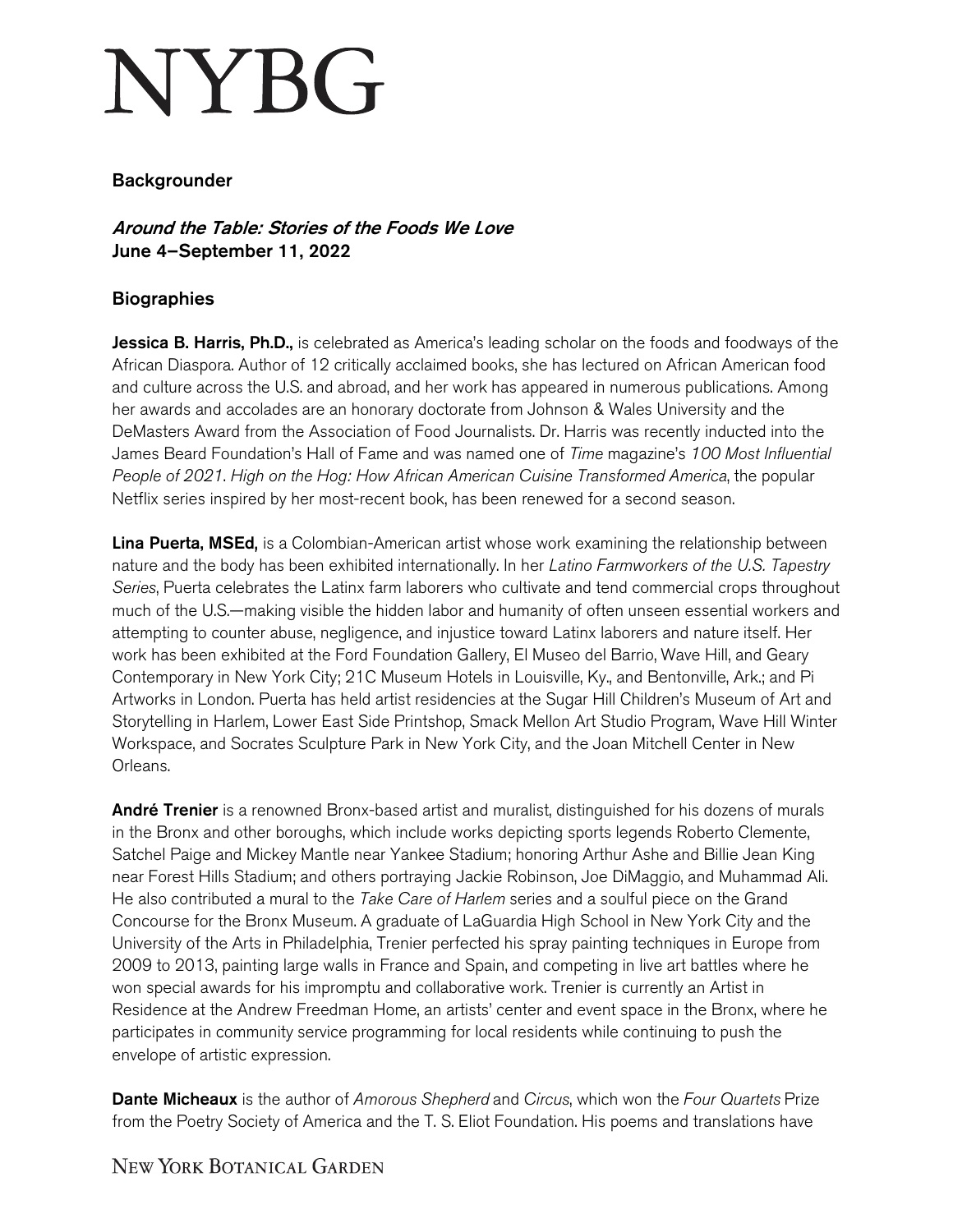## **NYBG**

## Backgrounder

Around the Table: Stories of the Foods We Love June 4–September 11, 2022

## **Biographies**

**Jessica B. Harris, Ph.D.,** is celebrated as America's leading scholar on the foods and foodways of the African Diaspora. Author of 12 critically acclaimed books, she has lectured on African American food and culture across the U.S. and abroad, and her work has appeared in numerous publications. Among her awards and accolades are an honorary doctorate from Johnson & Wales University and the DeMasters Award from the Association of Food Journalists. Dr. Harris was recently inducted into the James Beard Foundation's Hall of Fame and was named one of *Time* magazine's *100 Most Influential People of 2021*. *High on the Hog: How African American Cuisine Transformed America*, the popular Netflix series inspired by her most-recent book, has been renewed for a second season.

Lina Puerta, MSEd, is a Colombian-American artist whose work examining the relationship between nature and the body has been exhibited internationally. In her *Latino Farmworkers of the U.S. Tapestry Series*, Puerta celebrates the Latinx farm laborers who cultivate and tend commercial crops throughout much of the U.S.—making visible the hidden labor and humanity of often unseen essential workers and attempting to counter abuse, negligence, and injustice toward Latinx laborers and nature itself. Her work has been exhibited at the Ford Foundation Gallery, El Museo del Barrio, Wave Hill, and Geary Contemporary in New York City; 21C Museum Hotels in Louisville, Ky., and Bentonville, Ark.; and Pi Artworks in London. Puerta has held artist residencies at the Sugar Hill Children's Museum of Art and Storytelling in Harlem, Lower East Side Printshop, Smack Mellon Art Studio Program, Wave Hill Winter Workspace, and Socrates Sculpture Park in New York City, and the Joan Mitchell Center in New Orleans.

André Trenier is a renowned Bronx-based artist and muralist, distinguished for his dozens of murals in the Bronx and other boroughs, which include works depicting sports legends Roberto Clemente, Satchel Paige and Mickey Mantle near Yankee Stadium; honoring Arthur Ashe and Billie Jean King near Forest Hills Stadium; and others portraying Jackie Robinson, Joe DiMaggio, and Muhammad Ali. He also contributed a mural to the *Take Care of Harlem* series and a soulful piece on the Grand Concourse for the Bronx Museum. A graduate of LaGuardia High School in New York City and the University of the Arts in Philadelphia, Trenier perfected his spray painting techniques in Europe from 2009 to 2013, painting large walls in France and Spain, and competing in live art battles where he won special awards for his impromptu and collaborative work. Trenier is currently an Artist in Residence at the Andrew Freedman Home, an artists' center and event space in the Bronx, where he participates in community service programming for local residents while continuing to push the envelope of artistic expression.

Dante Micheaux is the author of *Amorous Shepherd* and *Circus*, which won the *Four Quartets* Prize from the Poetry Society of America and the T. S. Eliot Foundation. His poems and translations have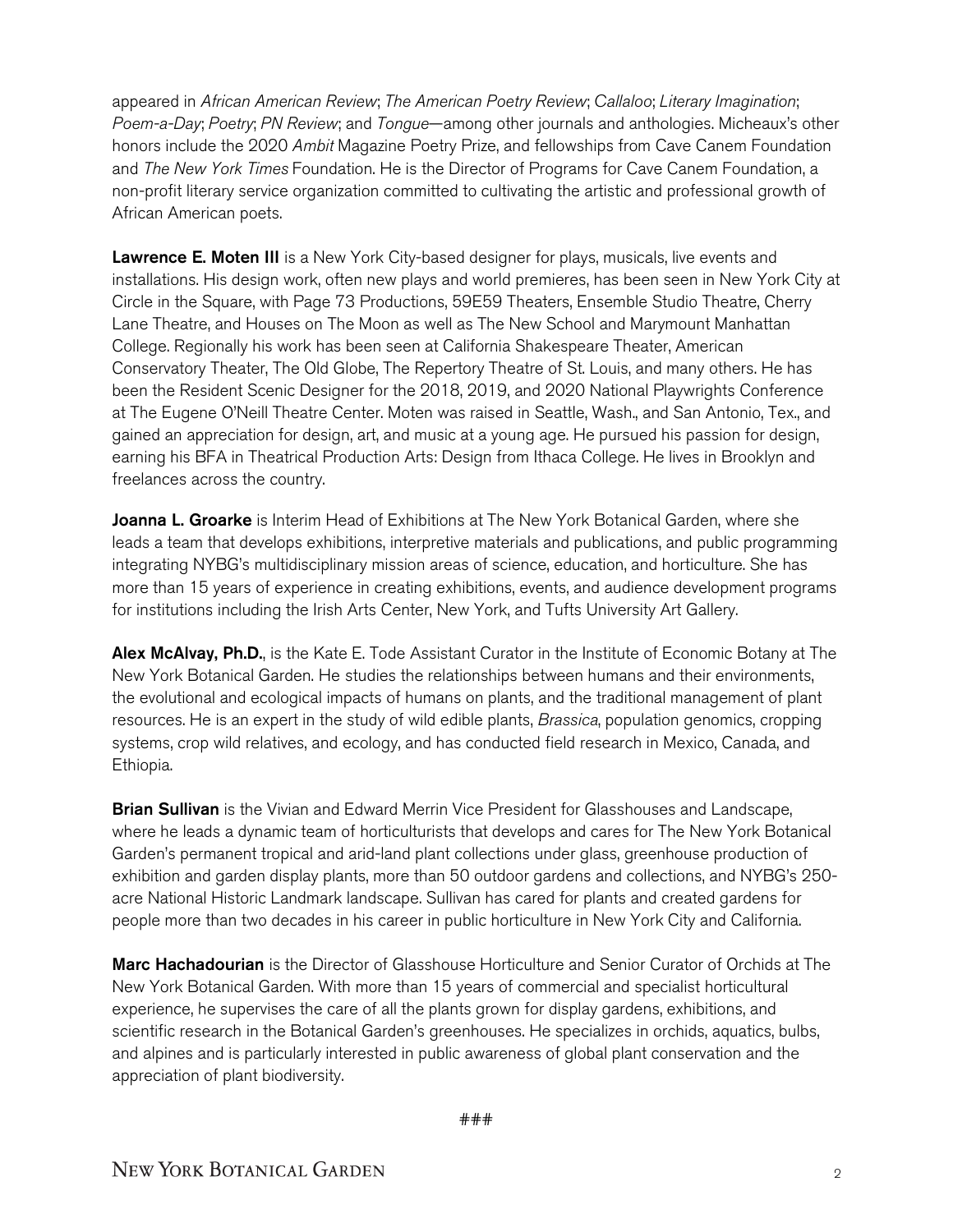appeared in *African American Review*; *The American Poetry Review*; *Callaloo*; *Literary Imagination*; *Poem-a-Day*; *Poetry*; *PN Review*; and *Tongue*—among other journals and anthologies. Micheaux's other honors include the 2020 *Ambit* Magazine Poetry Prize, and fellowships from Cave Canem Foundation and *The New York Times* Foundation. He is the Director of Programs for Cave Canem Foundation, a non-profit literary service organization committed to cultivating the artistic and professional growth of African American poets.

**Lawrence E. Moten III** is a New York City-based designer for plays, musicals, live events and installations. His design work, often new plays and world premieres, has been seen in New York City at Circle in the Square, with Page 73 Productions, 59E59 Theaters, Ensemble Studio Theatre, Cherry Lane Theatre, and Houses on The Moon as well as The New School and Marymount Manhattan College. Regionally his work has been seen at California Shakespeare Theater, American Conservatory Theater, The Old Globe, The Repertory Theatre of St. Louis, and many others. He has been the Resident Scenic Designer for the 2018, 2019, and 2020 National Playwrights Conference at The Eugene O'Neill Theatre Center. Moten was raised in Seattle, Wash., and San Antonio, Tex., and gained an appreciation for design, art, and music at a young age. He pursued his passion for design, earning his BFA in Theatrical Production Arts: Design from Ithaca College. He lives in Brooklyn and freelances across the country.

Joanna L. Groarke is Interim Head of Exhibitions at The New York Botanical Garden, where she leads a team that develops exhibitions, interpretive materials and publications, and public programming integrating NYBG's multidisciplinary mission areas of science, education, and horticulture. She has more than 15 years of experience in creating exhibitions, events, and audience development programs for institutions including the Irish Arts Center, New York, and Tufts University Art Gallery.

Alex McAlvay, Ph.D., is the Kate E. Tode Assistant Curator in the Institute of Economic Botany at The New York Botanical Garden. He studies the relationships between humans and their environments, the evolutional and ecological impacts of humans on plants, and the traditional management of plant resources. He is an expert in the study of wild edible plants, *Brassica*, population genomics, cropping systems, crop wild relatives, and ecology, and has conducted field research in Mexico, Canada, and Ethiopia.

**Brian Sullivan** is the Vivian and Edward Merrin Vice President for Glasshouses and Landscape, where he leads a dynamic team of horticulturists that develops and cares for The New York Botanical Garden's permanent tropical and arid-land plant collections under glass, greenhouse production of exhibition and garden display plants, more than 50 outdoor gardens and collections, and NYBG's 250 acre National Historic Landmark landscape. Sullivan has cared for plants and created gardens for people more than two decades in his career in public horticulture in New York City and California.

**Marc Hachadourian** is the Director of Glasshouse Horticulture and Senior Curator of Orchids at The New York Botanical Garden. With more than 15 years of commercial and specialist horticultural experience, he supervises the care of all the plants grown for display gardens, exhibitions, and scientific research in the Botanical Garden's greenhouses. He specializes in orchids, aquatics, bulbs, and alpines and is particularly interested in public awareness of global plant conservation and the appreciation of plant biodiversity.